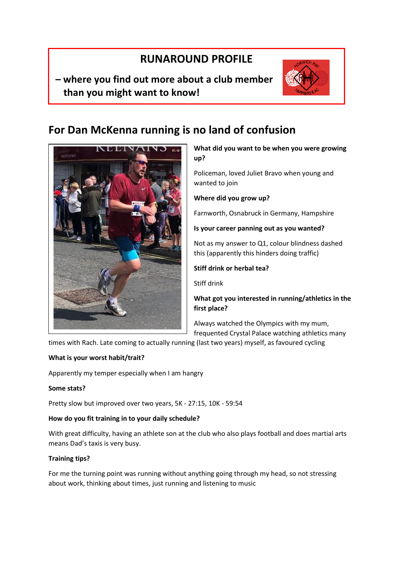# **RUNAROUND PROFILE**

# **– where you find out more about a club member than you might want to know!**



# **For Dan McKenna running is no land of confusion**



**What did you want to be when you were growing up?**

Policeman, loved Juliet Bravo when young and wanted to join

**Where did you grow up?**

Farnworth, Osnabruck in Germany, Hampshire

# **Is your career panning out as you wanted?**

Not as my answer to Q1, colour blindness dashed this (apparently this hinders doing traffic)

# **Stiff drink or herbal tea?**

Stiff drink

**What got you interested in running/athletics in the first place?**

Always watched the Olympics with my mum, frequented Crystal Palace watching athletics many

times with Rach. Late coming to actually running (last two years) myself, as favoured cycling

#### **What is your worst habit/trait?**

Apparently my temper especially when I am hangry

# **Some stats?**

Pretty slow but improved over two years, 5K - 27:15, 10K - 59:54

# **How do you fit training in to your daily schedule?**

With great difficulty, having an athlete son at the club who also plays football and does martial arts means Dad's taxis is very busy.

# **Training tips?**

For me the turning point was running without anything going through my head, so not stressing about work, thinking about times, just running and listening to music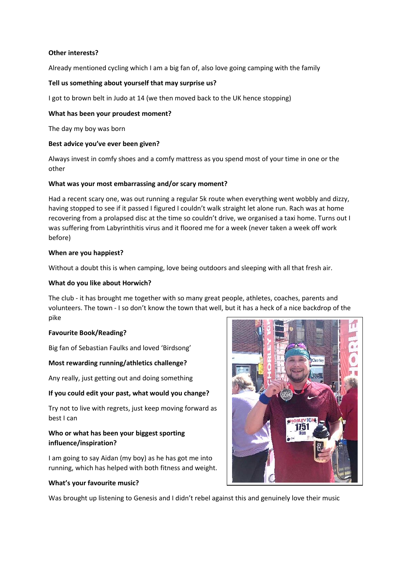#### **Other interests?**

Already mentioned cycling which I am a big fan of, also love going camping with the family

#### **Tell us something about yourself that may surprise us?**

I got to brown belt in Judo at 14 (we then moved back to the UK hence stopping)

#### **What has been your proudest moment?**

The day my boy was born

#### **Best advice you've ever been given?**

Always invest in comfy shoes and a comfy mattress as you spend most of your time in one or the other

#### **What was your most embarrassing and/or scary moment?**

Had a recent scary one, was out running a regular 5k route when everything went wobbly and dizzy, having stopped to see if it passed I figured I couldn't walk straight let alone run. Rach was at home recovering from a prolapsed disc at the time so couldn't drive, we organised a taxi home. Turns out I was suffering from Labyrinthitis virus and it floored me for a week (never taken a week off work before)

#### **When are you happiest?**

Without a doubt this is when camping, love being outdoors and sleeping with all that fresh air.

#### **What do you like about Horwich?**

The club - it has brought me together with so many great people, athletes, coaches, parents and volunteers. The town - I so don't know the town that well, but it has a heck of a nice backdrop of the pike

#### **Favourite Book/Reading?**

Big fan of Sebastian Faulks and loved 'Birdsong'

#### **Most rewarding running/athletics challenge?**

Any really, just getting out and doing something

#### **If you could edit your past, what would you change?**

Try not to live with regrets, just keep moving forward as best I can

# **Who or what has been your biggest sporting influence/inspiration?**

I am going to say Aidan (my boy) as he has got me into running, which has helped with both fitness and weight.

#### **What's your favourite music?**

Was brought up listening to Genesis and I didn't rebel against this and genuinely love their music